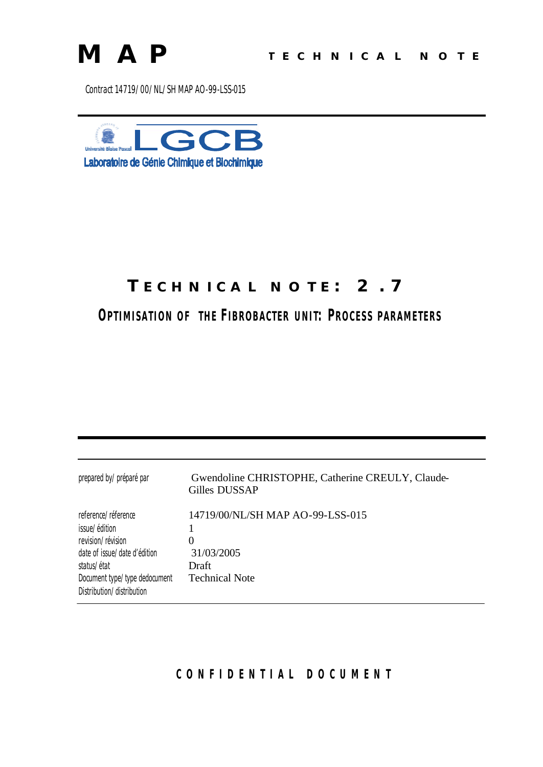

Contract 14719/00/NL/SH MAP AO-99-LSS-015



## **TECHNICAL NOTE: 2.7**

**OPTIMISATION OF THE** *FIBROBACTER* **UNIT: PROCESS PARAMETERS**

| prepared by/préparé par                                                                                                                                                                | Gwendoline CHRISTOPHE, Catherine CREULY, Claude-<br>Gilles DUSSAP                |
|----------------------------------------------------------------------------------------------------------------------------------------------------------------------------------------|----------------------------------------------------------------------------------|
| reference/réference<br>issue/édition<br>revision/révision<br>date of issue/date d'édition<br>status/ <i>état</i><br>Document type/type dedocument<br>Distribution/ <i>distribution</i> | 14719/00/NL/SH MAP AO-99-LSS-015<br>31/03/2005<br>Draft<br><b>Technical Note</b> |

**CONFIDENTIAL DOCUMEN T**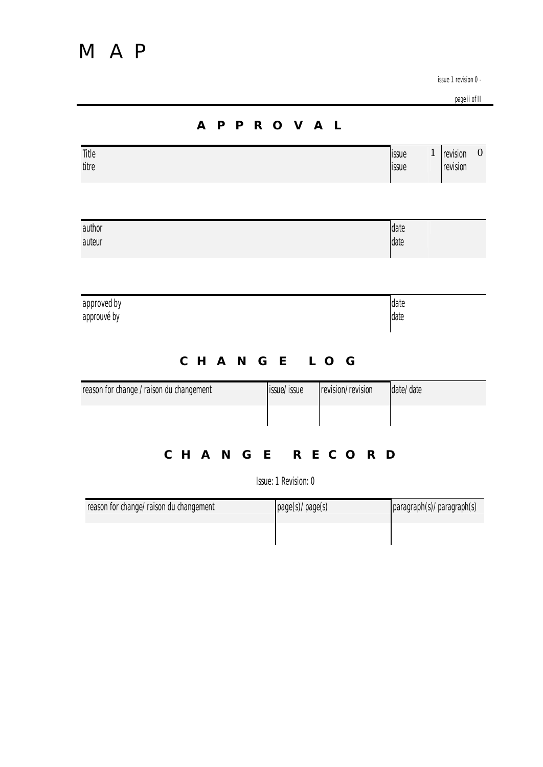page ii of II

|                                          | <b>APPROVAL</b>                  |                                |                                  |
|------------------------------------------|----------------------------------|--------------------------------|----------------------------------|
| Title<br>titre                           |                                  | $\mathbf{1}$<br>issue<br>issue | $\theta$<br>revision<br>revision |
| author<br>auteur                         |                                  | date<br>date                   |                                  |
| approved by<br>approuvé by               |                                  | date<br>date                   |                                  |
|                                          | CHANGE LOG                       |                                |                                  |
| reason for change / raison du changement | issue/issue<br>revision/revision | date/date                      |                                  |
|                                          | CHANGE RECORD                    |                                |                                  |
|                                          | Issue: 1 Revision: 0             |                                |                                  |

| reason for change/raison du changement | page(s)/page(s) | paragraph(s)/paragraph(s) |
|----------------------------------------|-----------------|---------------------------|
|                                        |                 |                           |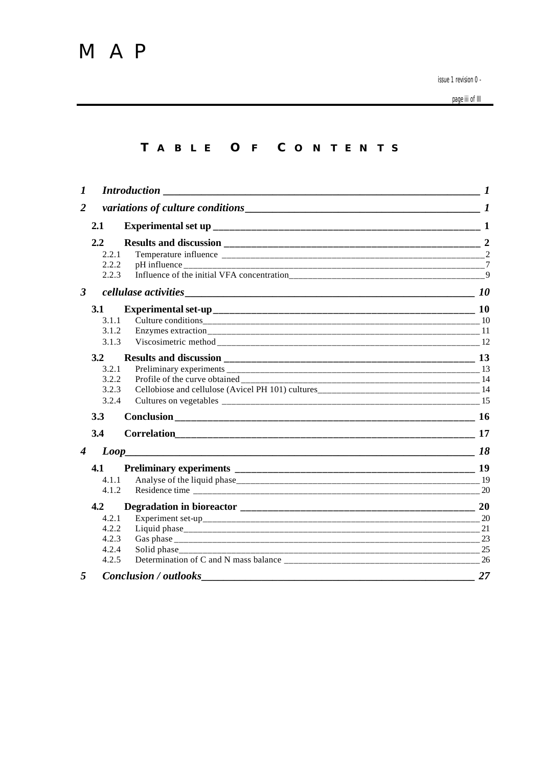page iii of III

## **T ABLE O F C ONTENTS**

| $\boldsymbol{l}$        |                  |                                             | $\boldsymbol{l}$ |
|-------------------------|------------------|---------------------------------------------|------------------|
| $\overline{2}$          |                  | variations of culture conditions $\sqrt{1}$ |                  |
|                         | 2.1              |                                             |                  |
|                         | $2.2\phantom{0}$ |                                             |                  |
|                         | 2.2.1            |                                             | $\mathcal{D}$    |
|                         | 2.2.2            |                                             | $\overline{7}$   |
|                         | 2.2.3            |                                             | $\overline{9}$   |
| $\overline{\mathbf{3}}$ |                  |                                             |                  |
|                         | 3.1              |                                             |                  |
|                         | 3.1.1            |                                             |                  |
|                         | 3.1.2            |                                             |                  |
|                         | 3.1.3            |                                             |                  |
|                         | 3.2              |                                             |                  |
|                         | 3.2.1            |                                             |                  |
|                         | 3.2.2            |                                             |                  |
|                         | 3.2.3            |                                             |                  |
|                         | 3.2.4            |                                             |                  |
|                         | 3.3              |                                             |                  |
|                         | 3.4              |                                             |                  |
| 4                       |                  |                                             | 18               |
|                         | 4.1              |                                             |                  |
|                         | 4.1.1            |                                             |                  |
|                         | 4.1.2            |                                             | 20               |
|                         | 4.2              |                                             | 20               |
|                         | 4.2.1            |                                             |                  |
|                         | 4.2.2            |                                             |                  |
|                         | 4.2.3            |                                             | 23               |
|                         | 4.2.4            |                                             | 25               |
|                         | 4.2.5            |                                             | 26               |
| 5                       |                  | $Conclusion / out looks \_$                 | 27               |
|                         |                  |                                             |                  |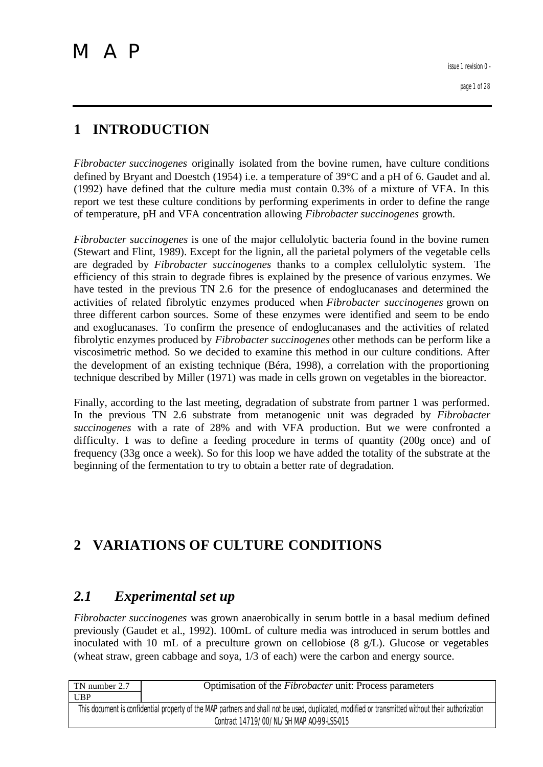## **1 INTRODUCTION**

*Fibrobacter succinogenes* originally isolated from the bovine rumen, have culture conditions defined by Bryant and Doestch (1954) i.e. a temperature of 39°C and a pH of 6. Gaudet and al. (1992) have defined that the culture media must contain 0.3% of a mixture of VFA. In this report we test these culture conditions by performing experiments in order to define the range of temperature, pH and VFA concentration allowing *Fibrobacter succinogenes* growth.

*Fibrobacter succinogenes* is one of the major cellulolytic bacteria found in the bovine rumen (Stewart and Flint, 1989). Except for the lignin, all the parietal polymers of the vegetable cells are degraded by *Fibrobacter succinogenes* thanks to a complex cellulolytic system. The efficiency of this strain to degrade fibres is explained by the presence of various enzymes. We have tested in the previous TN 2.6 for the presence of endoglucanases and determined the activities of related fibrolytic enzymes produced when *Fibrobacter succinogenes* grown on three different carbon sources. Some of these enzymes were identified and seem to be endo and exoglucanases. To confirm the presence of endoglucanases and the activities of related fibrolytic enzymes produced by *Fibrobacter succinogenes* other methods can be perform like a viscosimetric method. So we decided to examine this method in our culture conditions. After the development of an existing technique (Béra, 1998), a correlation with the proportioning technique described by Miller (1971) was made in cells grown on vegetables in the bioreactor.

Finally, according to the last meeting, degradation of substrate from partner 1 was performed. In the previous TN 2.6 substrate from metanogenic unit was degraded by *Fibrobacter succinogenes* with a rate of 28% and with VFA production. But we were confronted a difficulty. I was to define a feeding procedure in terms of quantity  $(200g)$  once) and of frequency (33g once a week). So for this loop we have added the totality of the substrate at the beginning of the fermentation to try to obtain a better rate of degradation.

## **2 VARIATIONS OF CULTURE CONDITIONS**

## *2.1 Experimental set up*

*Fibrobacter succinogenes* was grown anaerobically in serum bottle in a basal medium defined previously (Gaudet et al., 1992). 100mL of culture media was introduced in serum bottles and inoculated with 10 mL of a preculture grown on cellobiose (8 g/L). Glucose or vegetables (wheat straw, green cabbage and soya, 1/3 of each) were the carbon and energy source.

| TN number 2.7                                                                                                                                     | Optimisation of the <i>Fibrobacter</i> unit: Process parameters |
|---------------------------------------------------------------------------------------------------------------------------------------------------|-----------------------------------------------------------------|
| <b>UBP</b>                                                                                                                                        |                                                                 |
| This document is confidential property of the MAP partners and shall not be used, duplicated, modified or transmitted without their authorization |                                                                 |
| Contract 14719/00/NL/SH MAP AO-99-LSS-015                                                                                                         |                                                                 |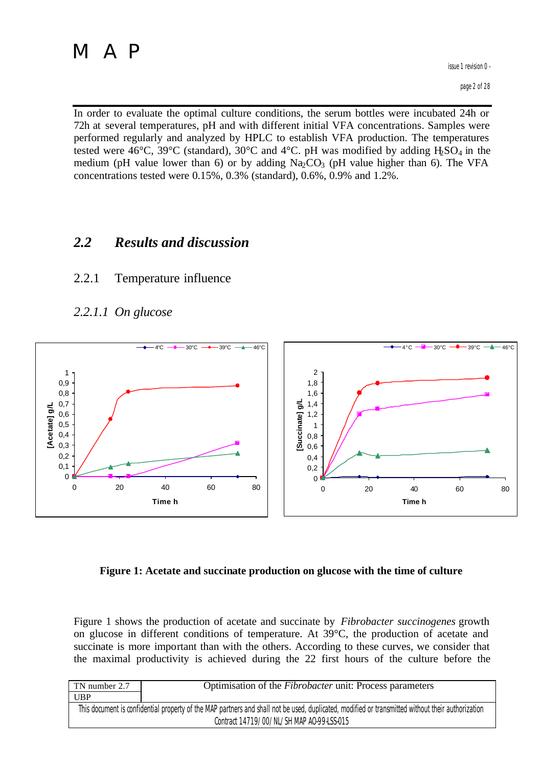In order to evaluate the optimal culture conditions, the serum bottles were incubated 24h or 72h at several temperatures, pH and with different initial VFA concentrations. Samples were performed regularly and analyzed by HPLC to establish VFA production. The temperatures tested were 46 $\degree$ C, 39 $\degree$ C (standard), 30 $\degree$ C and 4 $\degree$ C. pH was modified by adding H<sub>2</sub>SO<sub>4</sub> in the medium (pH value lower than 6) or by adding  $Na<sub>2</sub>CO<sub>3</sub>$  (pH value higher than 6). The VFA concentrations tested were 0.15%, 0.3% (standard), 0.6%, 0.9% and 1.2%.

## *2.2 Results and discussion*

## 2.2.1 Temperature influence

*2.2.1.1 On glucose*



### **Figure 1: Acetate and succinate production on glucose with the time of culture**

Figure 1 shows the production of acetate and succinate by *Fibrobacter succinogenes* growth on glucose in different conditions of temperature. At 39°C, the production of acetate and succinate is more important than with the others. According to these curves, we consider that the maximal productivity is achieved during the 22 first hours of the culture before the

| TN number 2.7                                                                                                                                     | Optimisation of the <i>Fibrobacter</i> unit: Process parameters |  |
|---------------------------------------------------------------------------------------------------------------------------------------------------|-----------------------------------------------------------------|--|
| <b>UBP</b>                                                                                                                                        |                                                                 |  |
| This document is confidential property of the MAP partners and shall not be used, duplicated, modified or transmitted without their authorization |                                                                 |  |
| Contract 14719/00/NL/SH MAP AO-99-LSS-015                                                                                                         |                                                                 |  |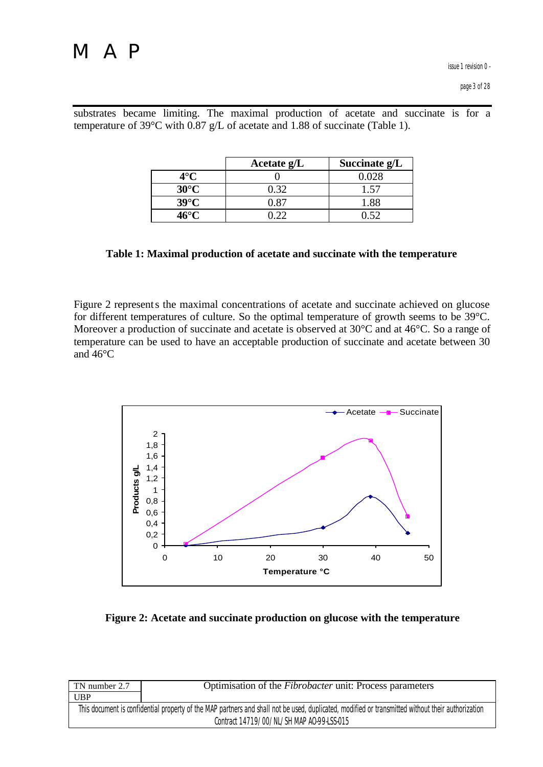|                | Acetate $g/L$ | Succinate g/L |
|----------------|---------------|---------------|
| $4^\circ$ C    |               | 0.028         |
| $30^{\circ}$ C | በ 32          | 1.57          |
| $39^{\circ}$ C |               | 1.88          |
| 46°െ           |               |               |

substrates became limiting. The maximal production of acetate and succinate is for a temperature of 39°C with 0.87 g/L of acetate and 1.88 of succinate (Table 1).

**Table 1: Maximal production of acetate and succinate with the temperature**

Figure 2 represents the maximal concentrations of acetate and succinate achieved on glucose for different temperatures of culture. So the optimal temperature of growth seems to be 39°C. Moreover a production of succinate and acetate is observed at 30<sup>o</sup>C and at 46<sup>o</sup>C. So a range of temperature can be used to have an acceptable production of succinate and acetate between 30 and 46°C



**Figure 2: Acetate and succinate production on glucose with the temperature** 

| TN number 2.7 | Optimisation of the <i>Fibrobacter</i> unit: Process parameters                                                                                   |
|---------------|---------------------------------------------------------------------------------------------------------------------------------------------------|
| <b>UBP</b>    |                                                                                                                                                   |
|               | This document is confidential property of the MAP partners and shall not be used, duplicated, modified or transmitted without their authorization |
|               | Contract 14719/00/NL/SH MAP AO-99-LSS-015                                                                                                         |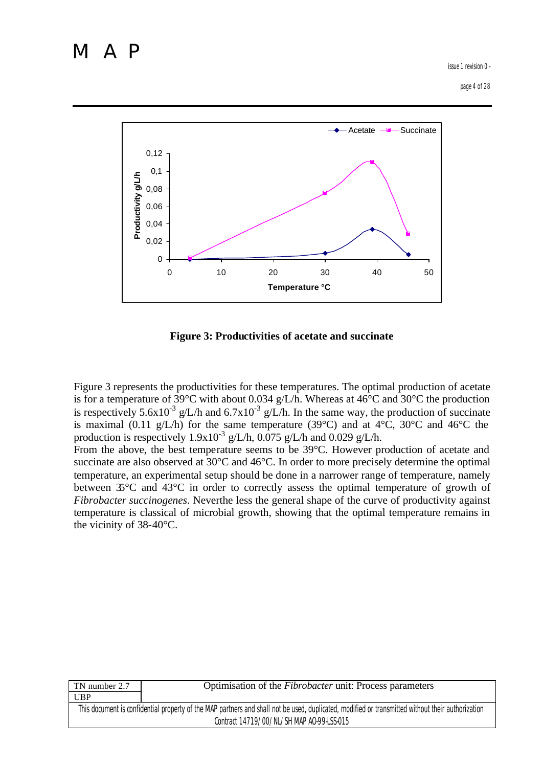issue 1 revision 0 -

page 4 of 28



**Figure 3: Productivities of acetate and succinate**

Figure 3 represents the productivities for these temperatures. The optimal production of acetate is for a temperature of 39°C with about 0.034 g/L/h. Whereas at 46°C and 30°C the production is respectively 5.6x10<sup>-3</sup> g/L/h and 6.7x10<sup>-3</sup> g/L/h. In the same way, the production of succinate is maximal  $(0.11 \text{ g/L/h})$  for the same temperature  $(39^{\circ}C)$  and at  $4^{\circ}C$ ,  $30^{\circ}C$  and  $46^{\circ}C$  the production is respectively  $1.9x10^{-3}$  g/L/h,  $0.075$  g/L/h and  $0.029$  g/L/h.

From the above, the best temperature seems to be 39°C. However production of acetate and succinate are also observed at 30°C and 46°C. In order to more precisely determine the optimal temperature, an experimental setup should be done in a narrower range of temperature, namely between 35°C and 43°C in order to correctly assess the optimal temperature of growth of *Fibrobacter succinogenes*. Neverthe less the general shape of the curve of productivity against temperature is classical of microbial growth, showing that the optimal temperature remains in the vicinity of 38-40°C.

| TN number 2.7                             | Optimisation of the <i>Fibrobacter</i> unit: Process parameters                                                                                   |  |
|-------------------------------------------|---------------------------------------------------------------------------------------------------------------------------------------------------|--|
| <b>UBP</b>                                |                                                                                                                                                   |  |
|                                           | This document is confidential property of the MAP partners and shall not be used, duplicated, modified or transmitted without their authorization |  |
| Contract 14719/00/NL/SH MAP AO-99-LSS-015 |                                                                                                                                                   |  |
|                                           |                                                                                                                                                   |  |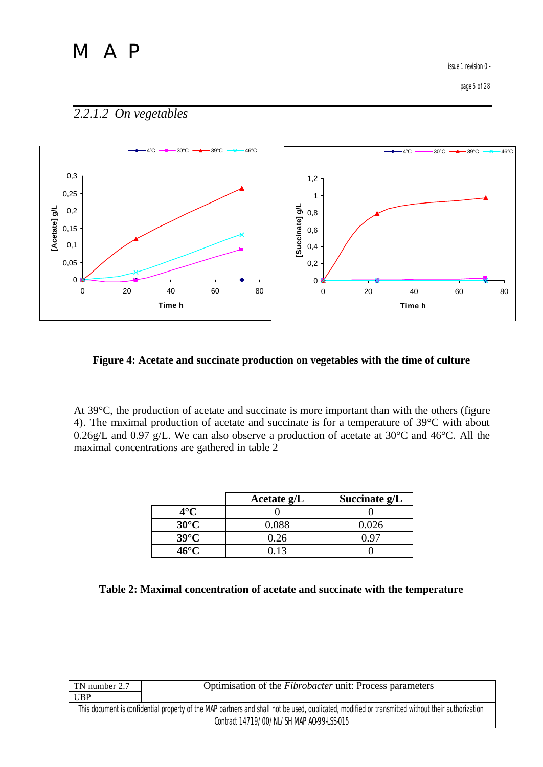issue 1 revision 0 -

## *2.2.1.2 On vegetables*



#### **Figure 4: Acetate and succinate production on vegetables with the time of culture**

At 39°C, the production of acetate and succinate is more important than with the others (figure 4). The maximal production of acetate and succinate is for a temperature of 39°C with about 0.26g/L and 0.97 g/L. We can also observe a production of acetate at 30°C and 46°C. All the maximal concentrations are gathered in table 2

|                | Acetate $g/L$ | Succinate g/L |
|----------------|---------------|---------------|
| $4^\circ$ C    |               |               |
| $30^{\circ}$ C | 0.088         | 0.026         |
| $39^{\circ}$ C | 0.26          |               |
| 46°C           | በ 13          |               |

| TN number 2.7                             | Optimisation of the <i>Fibrobacter</i> unit: Process parameters                                                                                   |
|-------------------------------------------|---------------------------------------------------------------------------------------------------------------------------------------------------|
| <b>UBP</b>                                |                                                                                                                                                   |
|                                           | This document is confidential property of the MAP partners and shall not be used, duplicated, modified or transmitted without their authorization |
| Contract 14719/00/NL/SH MAP AO-99-LSS-015 |                                                                                                                                                   |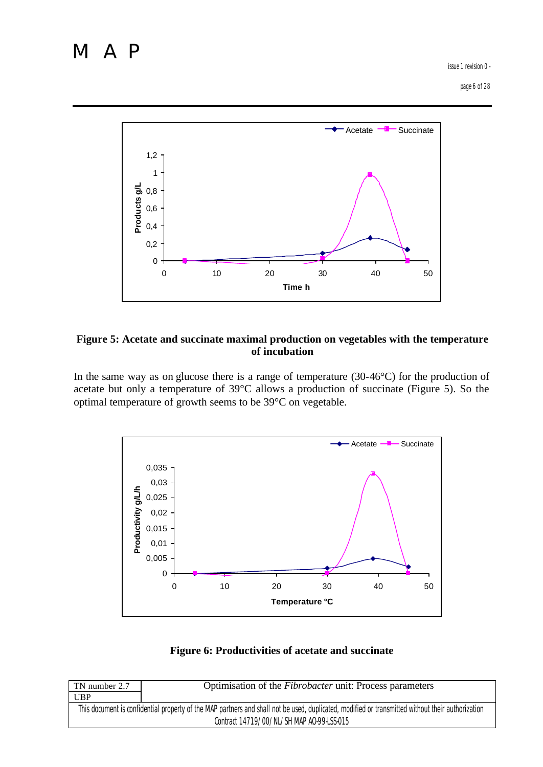issue 1 revision 0 -

page 6 of 28



#### **Figure 5: Acetate and succinate maximal production on vegetables with the temperature of incubation**

In the same way as on glucose there is a range of temperature (30-46°C) for the production of acetate but only a temperature of 39°C allows a production of succinate (Figure 5). So the optimal temperature of growth seems to be 39°C on vegetable.



### **Figure 6: Productivities of acetate and succinate**

| TN number 2.7                                                                                                                                     | Optimisation of the <i>Fibrobacter</i> unit: Process parameters |  |  |
|---------------------------------------------------------------------------------------------------------------------------------------------------|-----------------------------------------------------------------|--|--|
| UBP                                                                                                                                               |                                                                 |  |  |
| This document is confidential property of the MAP partners and shall not be used, duplicated, modified or transmitted without their authorization |                                                                 |  |  |
| Contract 14719/00/NL/SH MAP A0-99-LSS-015                                                                                                         |                                                                 |  |  |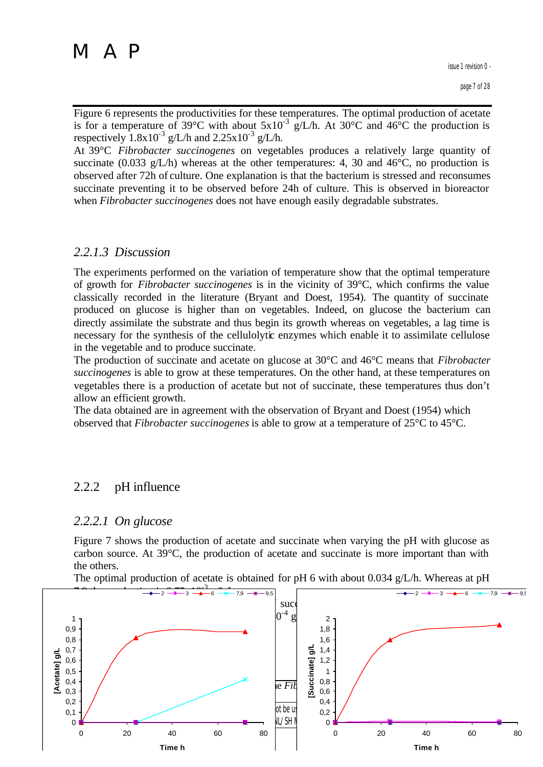Figure 6 represents the productivities for these temperatures. The optimal production of acetate is for a temperature of 39°C with about  $5x10^{-3}$  g/L/h. At 30°C and 46°C the production is respectively  $1.8x10^{-3}$  g/L/h and  $2.25x10^{-3}$  g/L/h.

At 39°C *Fibrobacter succinogenes* on vegetables produces a relatively large quantity of succinate (0.033 g/L/h) whereas at the other temperatures: 4, 30 and 46 $\degree$ C, no production is observed after 72h of culture. One explanation is that the bacterium is stressed and reconsumes succinate preventing it to be observed before 24h of culture. This is observed in bioreactor when *Fibrobacter succinogenes* does not have enough easily degradable substrates.

### *2.2.1.3 Discussion*

The experiments performed on the variation of temperature show that the optimal temperature of growth for *Fibrobacter succinogenes* is in the vicinity of 39°C, which confirms the value classically recorded in the literature (Bryant and Doest, 1954). The quantity of succinate produced on glucose is higher than on vegetables. Indeed, on glucose the bacterium can directly assimilate the substrate and thus begin its growth whereas on vegetables, a lag time is necessary for the synthesis of the cellulolytic enzymes which enable it to assimilate cellulose in the vegetable and to produce succinate.

The production of succinate and acetate on glucose at 30°C and 46°C means that *Fibrobacter succinogenes* is able to grow at these temperatures. On the other hand, at these temperatures on vegetables there is a production of acetate but not of succinate, these temperatures thus don't allow an efficient growth.

The data obtained are in agreement with the observation of Bryant and Doest (1954) which observed that *Fibrobacter succinogenes* is able to grow at a temperature of 25°C to 45°C.

## 2.2.2 pH influence

### *2.2.2.1 On glucose*

Figure 7 shows the production of acetate and succinate when varying the pH with glucose as carbon source. At 39°C, the production of acetate and succinate is more important than with the others.

The optimal production of acetate is obtained for pH 6 with about 0.034 g/L/h. Whereas at pH

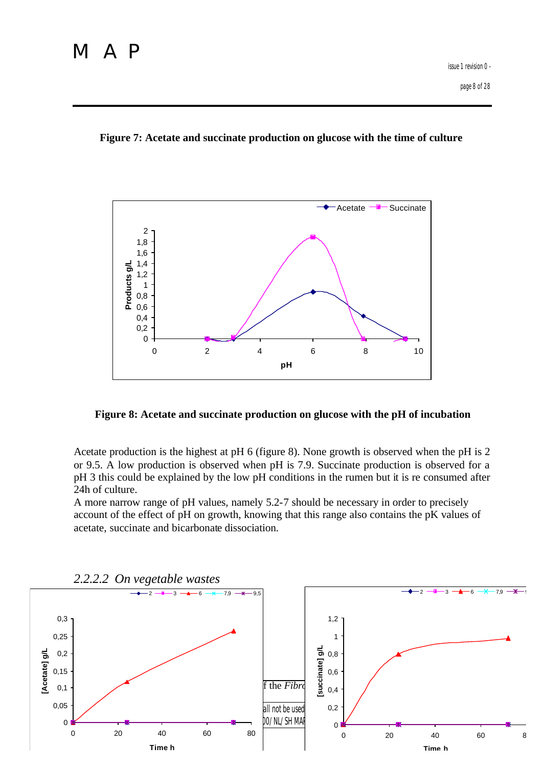#### **Figure 7: Acetate and succinate production on glucose with the time of culture**



#### **Figure 8: Acetate and succinate production on glucose with the pH of incubation**

Acetate production is the highest at pH 6 (figure 8). None growth is observed when the pH is 2 or 9.5. A low production is observed when pH is 7.9. Succinate production is observed for a pH 3 this could be explained by the low pH conditions in the rumen but it is re consumed after 24h of culture.

A more narrow range of pH values, namely 5.2-7 should be necessary in order to precisely account of the effect of pH on growth, knowing that this range also contains the pK values of acetate, succinate and bicarbonate dissociation.

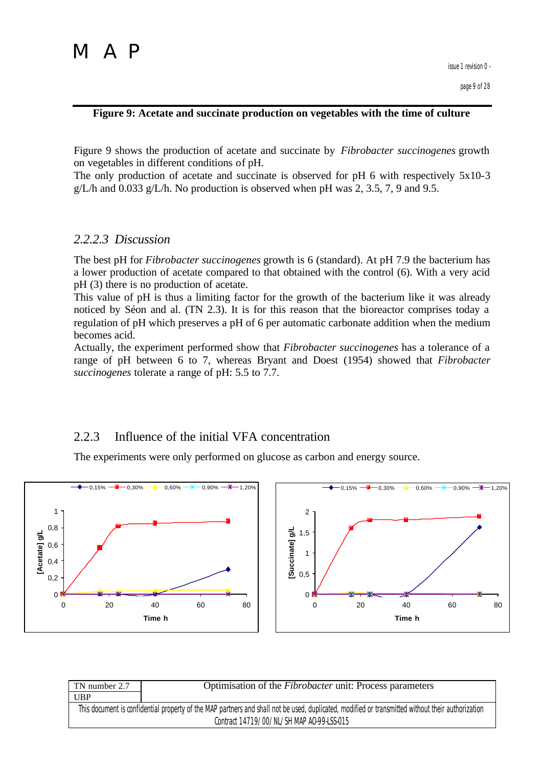#### **Figure 9: Acetate and succinate production on vegetables with the time of culture**

Figure 9 shows the production of acetate and succinate by *Fibrobacter succinogenes* growth on vegetables in different conditions of pH.

The only production of acetate and succinate is observed for pH 6 with respectively 5x10-3  $g/L/h$  and 0.033  $g/L/h$ . No production is observed when pH was 2, 3.5, 7, 9 and 9.5.

## *2.2.2.3 Discussion*

The best pH for *Fibrobacter succinogenes* growth is 6 (standard). At pH 7.9 the bacterium has a lower production of acetate compared to that obtained with the control (6). With a very acid pH (3) there is no production of acetate.

This value of pH is thus a limiting factor for the growth of the bacterium like it was already noticed by Séon and al. (TN 2.3). It is for this reason that the bioreactor comprises today a regulation of pH which preserves a pH of 6 per automatic carbonate addition when the medium becomes acid.

Actually, the experiment performed show that *Fibrobacter succinogenes* has a tolerance of a range of pH between 6 to 7, whereas Bryant and Doest (1954) showed that *Fibrobacter succinogenes* tolerate a range of pH: 5.5 to 7.7.

## 2.2.3 Influence of the initial VFA concentration

The experiments were only performed on glucose as carbon and energy source.



| TN number 2.7                                                                                                                                     | Optimisation of the <i>Fibrobacter</i> unit: Process parameters |  |  |
|---------------------------------------------------------------------------------------------------------------------------------------------------|-----------------------------------------------------------------|--|--|
| <b>UBP</b>                                                                                                                                        |                                                                 |  |  |
| This document is confidential property of the MAP partners and shall not be used, duplicated, modified or transmitted without their authorization |                                                                 |  |  |
| Contract 14719/00/NL/SH MAP AO-99-LSS-015                                                                                                         |                                                                 |  |  |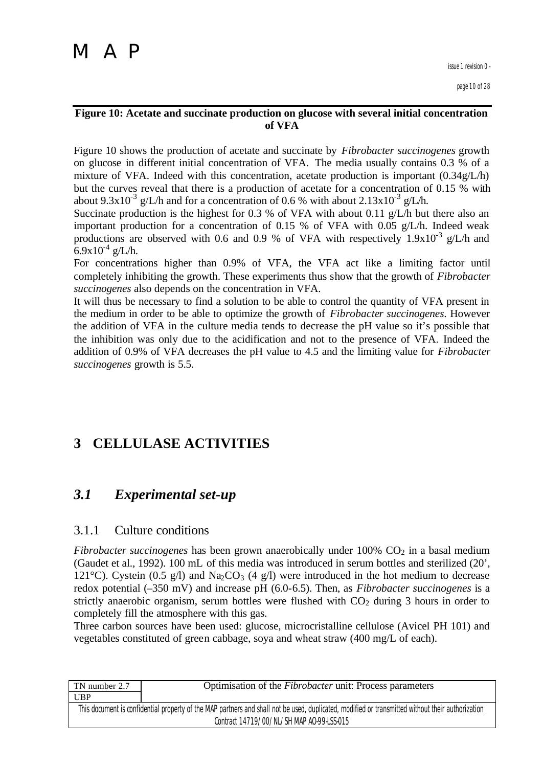issue 1 revision 0 -

page 10 of 28

#### **Figure 10: Acetate and succinate production on glucose with several initial concentration of VFA**

Figure 10 shows the production of acetate and succinate by *Fibrobacter succinogenes* growth on glucose in different initial concentration of VFA. The media usually contains 0.3 % of a mixture of VFA. Indeed with this concentration, acetate production is important (0.34g/L/h) but the curves reveal that there is a production of acetate for a concentration of 0.15 % with about 9.3x10<sup>-3</sup> g/L/h and for a concentration of 0.6 % with about 2.13x10<sup>-3</sup> g/L/h.

Succinate production is the highest for 0.3 % of VFA with about 0.11 g/L/h but there also an important production for a concentration of 0.15 % of VFA with 0.05 g/L/h. Indeed weak productions are observed with 0.6 and 0.9 % of VFA with respectively  $1.9x10^{-3}$  g/L/h and  $6.9x10^{-4}$  g/L/h.

For concentrations higher than 0.9% of VFA, the VFA act like a limiting factor until completely inhibiting the growth. These experiments thus show that the growth of *Fibrobacter succinogenes* also depends on the concentration in VFA.

It will thus be necessary to find a solution to be able to control the quantity of VFA present in the medium in order to be able to optimize the growth of *Fibrobacter succinogenes*. However the addition of VFA in the culture media tends to decrease the pH value so it's possible that the inhibition was only due to the acidification and not to the presence of VFA. Indeed the addition of 0.9% of VFA decreases the pH value to 4.5 and the limiting value for *Fibrobacter succinogenes* growth is 5.5.

## **3 CELLULASE ACTIVITIES**

## *3.1 Experimental set-up*

## 3.1.1 Culture conditions

*Fibrobacter succinogenes* has been grown anaerobically under 100% CO<sub>2</sub> in a basal medium (Gaudet et al., 1992). 100 mL of this media was introduced in serum bottles and sterilized (20', 121<sup>o</sup>C). Cystein (0.5 g/l) and Na<sub>2</sub>CO<sub>3</sub> (4 g/l) were introduced in the hot medium to decrease redox potential (–350 mV) and increase pH (6.0-6.5). Then, as *Fibrobacter succinogenes* is a strictly anaerobic organism, serum bottles were flushed with  $CO<sub>2</sub>$  during 3 hours in order to completely fill the atmosphere with this gas.

Three carbon sources have been used: glucose, microcristalline cellulose (Avicel PH 101) and vegetables constituted of green cabbage, soya and wheat straw (400 mg/L of each).

| TN number 2.7                                                                                                                                     | Optimisation of the <i>Fibrobacter</i> unit: Process parameters |  |  |
|---------------------------------------------------------------------------------------------------------------------------------------------------|-----------------------------------------------------------------|--|--|
| <b>UBP</b>                                                                                                                                        |                                                                 |  |  |
| This document is confidential property of the MAP partners and shall not be used, duplicated, modified or transmitted without their authorization |                                                                 |  |  |
| Contract 14719/00/NL/SH MAP AO-99-LSS-015                                                                                                         |                                                                 |  |  |
|                                                                                                                                                   |                                                                 |  |  |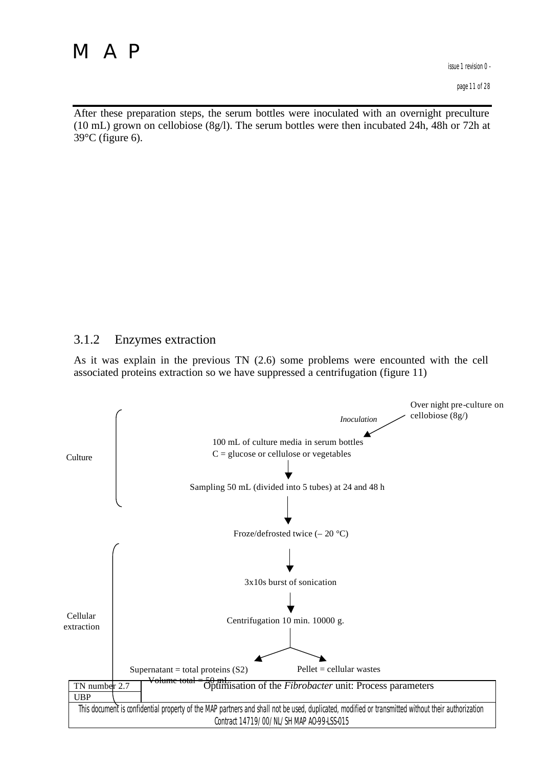page 11 of 28

After these preparation steps, the serum bottles were inoculated with an overnight preculture (10 mL) grown on cellobiose (8g/l). The serum bottles were then incubated 24h, 48h or 72h at  $39^{\circ}$ C (figure 6).

## 3.1.2 Enzymes extraction

As it was explain in the previous TN (2.6) some problems were encounted with the cell associated proteins extraction so we have suppressed a centrifugation (figure 11)

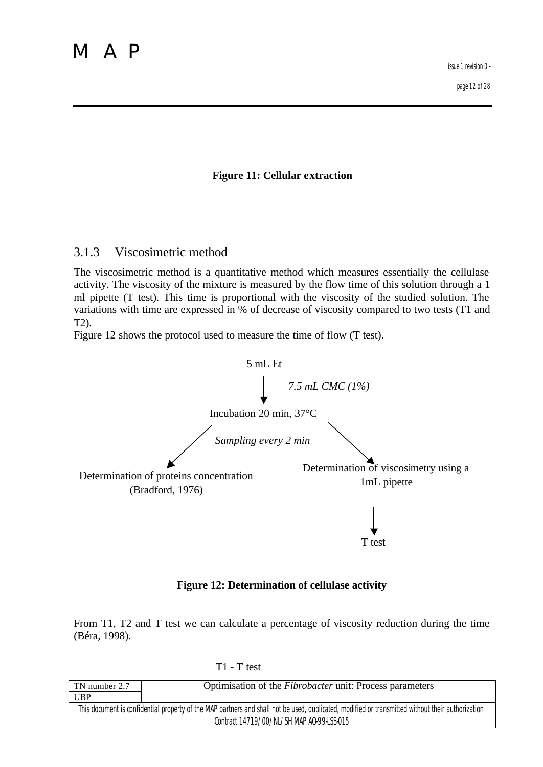**Figure 11: Cellular extraction**

### 3.1.3 Viscosimetric method

The viscosimetric method is a quantitative method which measures essentially the cellulase activity. The viscosity of the mixture is measured by the flow time of this solution through a 1 ml pipette (T test). This time is proportional with the viscosity of the studied solution. The variations with time are expressed in % of decrease of viscosity compared to two tests (T1 and T2).

Figure 12 shows the protocol used to measure the time of flow (T test).



#### **Figure 12: Determination of cellulase activity**

From T1, T2 and T test we can calculate a percentage of viscosity reduction during the time (Béra, 1998).

T1 **-** T test

| TN number 2.7                                                                                                                                     | Optimisation of the <i>Fibrobacter</i> unit: Process parameters |  |  |  |
|---------------------------------------------------------------------------------------------------------------------------------------------------|-----------------------------------------------------------------|--|--|--|
| <b>UBP</b>                                                                                                                                        |                                                                 |  |  |  |
| This document is confidential property of the MAP partners and shall not be used, duplicated, modified or transmitted without their authorization |                                                                 |  |  |  |
| Contract 14719/00/NL/SH MAP AO-99-LSS-015                                                                                                         |                                                                 |  |  |  |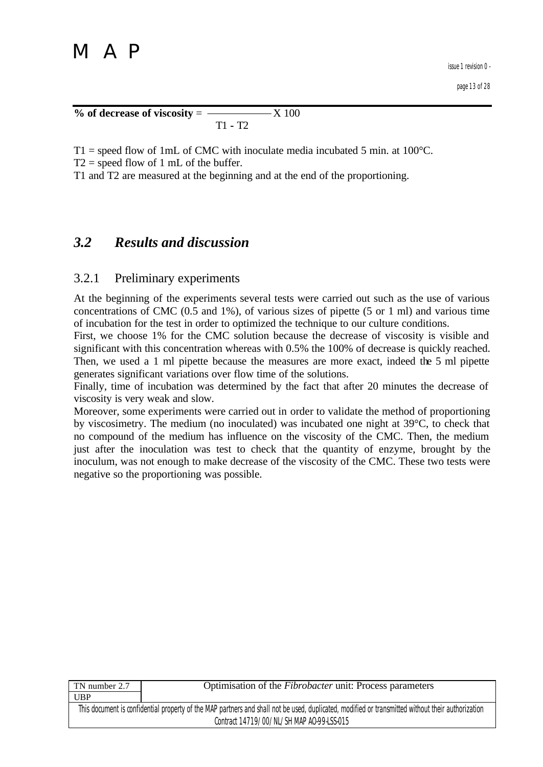$% of decrease of viscosity =$   $X 100$ T1 **-** T2

 $T1$  = speed flow of 1mL of CMC with inoculate media incubated 5 min. at 100 $^{\circ}$ C.

 $T2$  = speed flow of 1 mL of the buffer.

T1 and T2 are measured at the beginning and at the end of the proportioning.

## *3.2 Results and discussion*

## 3.2.1 Preliminary experiments

At the beginning of the experiments several tests were carried out such as the use of various concentrations of CMC (0.5 and 1%), of various sizes of pipette (5 or 1 ml) and various time of incubation for the test in order to optimized the technique to our culture conditions.

First, we choose 1% for the CMC solution because the decrease of viscosity is visible and significant with this concentration whereas with 0.5% the 100% of decrease is quickly reached. Then, we used a 1 ml pipette because the measures are more exact, indeed the 5 ml pipette generates significant variations over flow time of the solutions.

Finally, time of incubation was determined by the fact that after 20 minutes the decrease of viscosity is very weak and slow.

Moreover, some experiments were carried out in order to validate the method of proportioning by viscosimetry. The medium (no inoculated) was incubated one night at 39°C, to check that no compound of the medium has influence on the viscosity of the CMC. Then, the medium just after the inoculation was test to check that the quantity of enzyme, brought by the inoculum, was not enough to make decrease of the viscosity of the CMC. These two tests were negative so the proportioning was possible.

| TN number 2.7                                                                                                                                     | Optimisation of the <i>Fibrobacter</i> unit: Process parameters |  |  |
|---------------------------------------------------------------------------------------------------------------------------------------------------|-----------------------------------------------------------------|--|--|
| UBP                                                                                                                                               |                                                                 |  |  |
| This document is confidential property of the MAP partners and shall not be used, duplicated, modified or transmitted without their authorization |                                                                 |  |  |
| Contract 14719/00/NL/SH MAP AO-99-LSS-015                                                                                                         |                                                                 |  |  |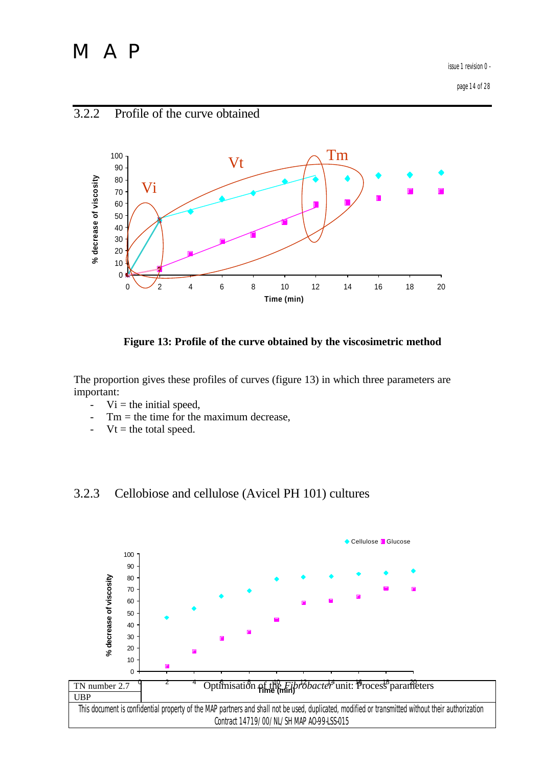issue 1 revision 0 -

page 14 of 28



### **Figure 13: Profile of the curve obtained by the viscosimetric method**

The proportion gives these profiles of curves (figure 13) in which three parameters are important:

- $Vi =$  the initial speed,
- $Tm =$  the time for the maximum decrease,
- $Vt =$  the total speed.

## 3.2.3 Cellobiose and cellulose (Avicel PH 101) cultures



## 3.2.2 Profile of the curve obtained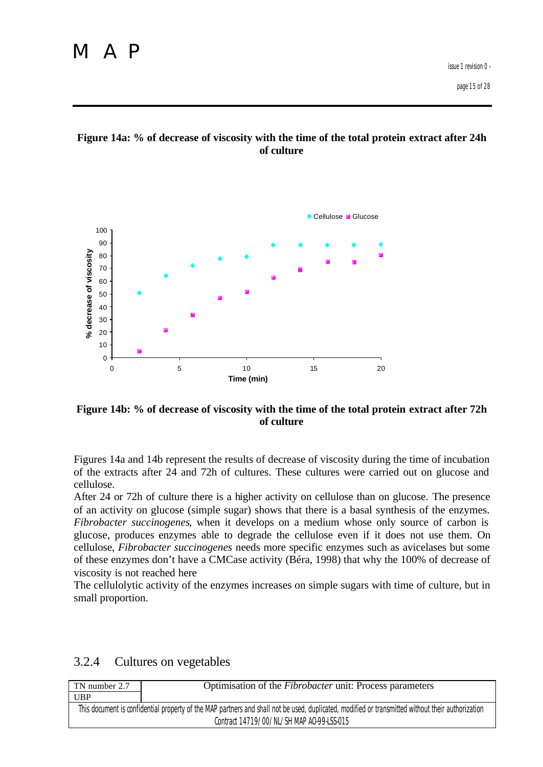



**Figure 14b: % of decrease of viscosity with the time of the total protein extract after 72h of culture**

Figures 14a and 14b represent the results of decrease of viscosity during the time of incubation of the extracts after 24 and 72h of cultures. These cultures were carried out on glucose and cellulose.

After 24 or 72h of culture there is a higher activity on cellulose than on glucose. The presence of an activity on glucose (simple sugar) shows that there is a basal synthesis of the enzymes. *Fibrobacter succinogenes*, when it develops on a medium whose only source of carbon is glucose, produces enzymes able to degrade the cellulose even if it does not use them. On cellulose, *Fibrobacter succinogenes* needs more specific enzymes such as avicelases but some of these enzymes don't have a CMCase activity (Béra, 1998) that why the 100% of decrease of viscosity is not reached here

The cellulolytic activity of the enzymes increases on simple sugars with time of culture, but in small proportion.

| TN number 2.7                                                                                                                                     | Optimisation of the <i>Fibrobacter</i> unit: Process parameters |  |  |  |
|---------------------------------------------------------------------------------------------------------------------------------------------------|-----------------------------------------------------------------|--|--|--|
| <b>UBP</b>                                                                                                                                        |                                                                 |  |  |  |
| This document is confidential property of the MAP partners and shall not be used, duplicated, modified or transmitted without their authorization |                                                                 |  |  |  |
| Contract 14719/00/NL/SH MAP AO-99-LSS-015                                                                                                         |                                                                 |  |  |  |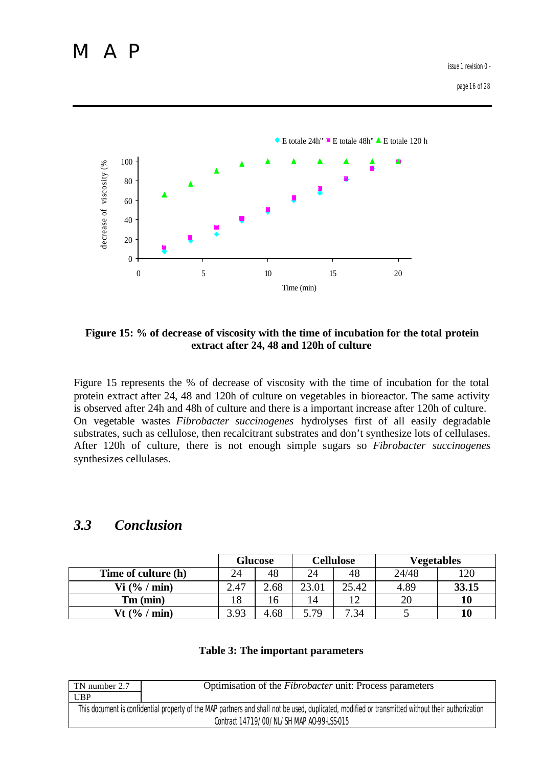

**Figure 15: % of decrease of viscosity with the time of incubation for the total protein extract after 24, 48 and 120h of culture**

Figure 15 represents the % of decrease of viscosity with the time of incubation for the total protein extract after 24, 48 and 120h of culture on vegetables in bioreactor. The same activity is observed after 24h and 48h of culture and there is a important increase after 120h of culture. On vegetable wastes *Fibrobacter succinogenes* hydrolyses first of all easily degradable substrates, such as cellulose, then recalcitrant substrates and don't synthesize lots of cellulases. After 120h of culture, there is not enough simple sugars so *Fibrobacter succinogenes* synthesizes cellulases.

## *3.3 Conclusion*

|                          | <b>Glucose</b> |      | <b>Cellulose</b> |       | <b>Vegetables</b> |       |
|--------------------------|----------------|------|------------------|-------|-------------------|-------|
| Time of culture (h)      | 24             | 48   | 24               | 48    | 24/48             | 120   |
| $Vi$ (% / min)           | 2.47           | 2.68 | 23.01            | 25.42 | 4.89              | 33.15 |
| $Tm$ (min)               | 18             | 16   | 14               | 12    | 20                | 10    |
| Vt $(\frac{6}{6}$ / min) | 3.93           | 4.68 | 5.79             | 7.34  |                   | 10    |

#### **Table 3: The important parameters**

| TN number 2.7                                                                                                                                     | Optimisation of the <i>Fibrobacter</i> unit: Process parameters |  |  |  |
|---------------------------------------------------------------------------------------------------------------------------------------------------|-----------------------------------------------------------------|--|--|--|
| UBP                                                                                                                                               |                                                                 |  |  |  |
| This document is confidential property of the MAP partners and shall not be used, duplicated, modified or transmitted without their authorization |                                                                 |  |  |  |
| Contract 14719/00/NL/SH MAP A0-99-LSS-015                                                                                                         |                                                                 |  |  |  |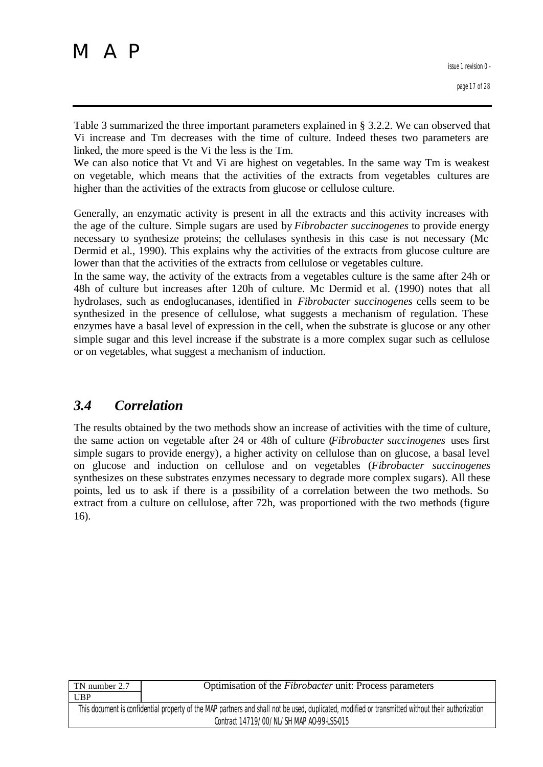Table 3 summarized the three important parameters explained in § 3.2.2. We can observed that Vi increase and Tm decreases with the time of culture. Indeed theses two parameters are linked, the more speed is the Vi the less is the Tm.

We can also notice that Vt and Vi are highest on vegetables. In the same way Tm is weakest on vegetable, which means that the activities of the extracts from vegetables cultures are higher than the activities of the extracts from glucose or cellulose culture.

Generally, an enzymatic activity is present in all the extracts and this activity increases with the age of the culture. Simple sugars are used by *Fibrobacter succinogenes* to provide energy necessary to synthesize proteins; the cellulases synthesis in this case is not necessary (Mc Dermid et al., 1990). This explains why the activities of the extracts from glucose culture are lower than that the activities of the extracts from cellulose or vegetables culture.

In the same way, the activity of the extracts from a vegetables culture is the same after 24h or 48h of culture but increases after 120h of culture. Mc Dermid et al. (1990) notes that all hydrolases, such as endoglucanases, identified in *Fibrobacter succinogenes* cells seem to be synthesized in the presence of cellulose, what suggests a mechanism of regulation. These enzymes have a basal level of expression in the cell, when the substrate is glucose or any other simple sugar and this level increase if the substrate is a more complex sugar such as cellulose or on vegetables, what suggest a mechanism of induction.

## *3.4 Correlation*

The results obtained by the two methods show an increase of activities with the time of culture, the same action on vegetable after 24 or 48h of culture (*Fibrobacter succinogenes* uses first simple sugars to provide energy), a higher activity on cellulose than on glucose, a basal level on glucose and induction on cellulose and on vegetables (*Fibrobacter succinogenes* synthesizes on these substrates enzymes necessary to degrade more complex sugars). All these points, led us to ask if there is a possibility of a correlation between the two methods. So extract from a culture on cellulose, after 72h, was proportioned with the two methods (figure 16).

| TN number 2.7                                                                                                                                     | Optimisation of the <i>Fibrobacter</i> unit: Process parameters |  |  |
|---------------------------------------------------------------------------------------------------------------------------------------------------|-----------------------------------------------------------------|--|--|
| UBP                                                                                                                                               |                                                                 |  |  |
| This document is confidential property of the MAP partners and shall not be used, duplicated, modified or transmitted without their authorization |                                                                 |  |  |
| Contract 14719/00/NL/SH MAP AO-99-LSS-015                                                                                                         |                                                                 |  |  |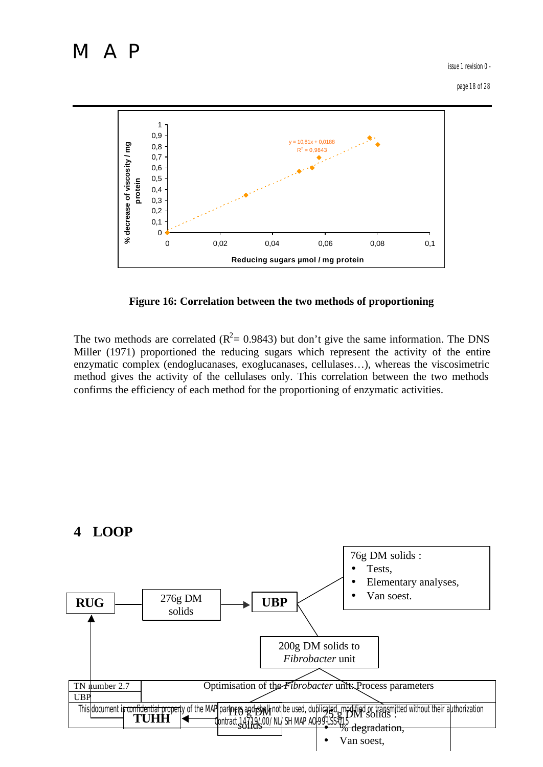issue 1 revision 0 -

page 18 of 28



**Figure 16: Correlation between the two methods of proportioning**

The two methods are correlated ( $R^2$  = 0.9843) but don't give the same information. The DNS Miller (1971) proportioned the reducing sugars which represent the activity of the entire enzymatic complex (endoglucanases, exoglucanases, cellulases…), whereas the viscosimetric method gives the activity of the cellulases only. This correlation between the two methods confirms the efficiency of each method for the proportioning of enzymatic activities.



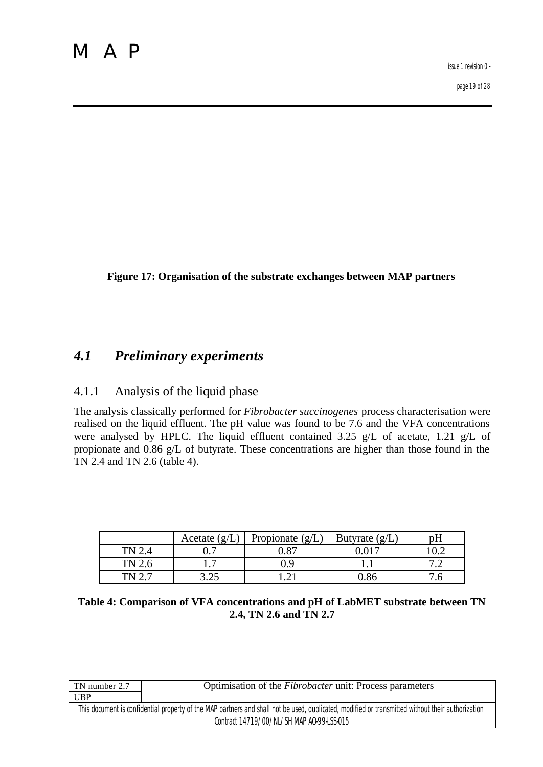**Figure 17: Organisation of the substrate exchanges between MAP partners**

## *4.1 Preliminary experiments*

## 4.1.1 Analysis of the liquid phase

The analysis classically performed for *Fibrobacter succinogenes* process characterisation were realised on the liquid effluent. The pH value was found to be 7.6 and the VFA concentrations were analysed by HPLC. The liquid effluent contained 3.25 g/L of acetate, 1.21 g/L of propionate and 0.86 g/L of butyrate. These concentrations are higher than those found in the TN 2.4 and TN 2.6 (table 4).

|        | Acetate $(g/L)$ | Propionate $(g/L)$ | Butyrate $(g/L)$ | рH |
|--------|-----------------|--------------------|------------------|----|
|        |                 |                    |                  |    |
| TN 2.6 |                 | ).9                |                  |    |
|        | (ش⊿.            |                    |                  |    |

|                        | Table 4: Comparison of VFA concentrations and pH of LabMET substrate between TN |
|------------------------|---------------------------------------------------------------------------------|
| 2.4, TN 2.6 and TN 2.7 |                                                                                 |

| TN number 2.7 | Optimisation of the <i>Fibrobacter</i> unit: Process parameters                                                                                   |
|---------------|---------------------------------------------------------------------------------------------------------------------------------------------------|
| <b>UBP</b>    |                                                                                                                                                   |
|               | This document is confidential property of the MAP partners and shall not be used, duplicated, modified or transmitted without their authorization |
|               | Contract 14719/00/NL/SH MAP AO-99-LSS-015                                                                                                         |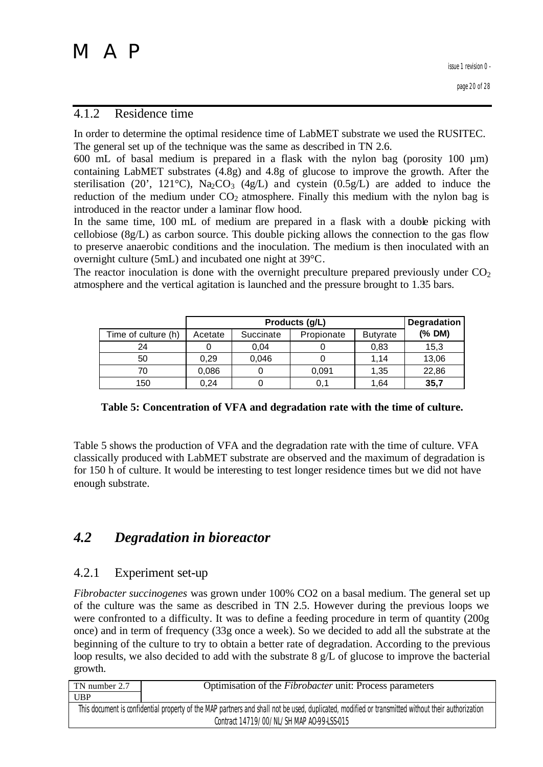### 4.1.2 Residence time

In order to determine the optimal residence time of LabMET substrate we used the RUSITEC. The general set up of the technique was the same as described in TN 2.6.

600 mL of basal medium is prepared in a flask with the nylon bag (porosity 100 µm) containing LabMET substrates (4.8g) and 4.8g of glucose to improve the growth. After the sterilisation (20', 121 $\textdegree$ C), Na<sub>2</sub>CO<sub>3</sub> (4g/L) and cystein (0.5g/L) are added to induce the reduction of the medium under  $CO<sub>2</sub>$  atmosphere. Finally this medium with the nylon bag is introduced in the reactor under a laminar flow hood.

In the same time, 100 mL of medium are prepared in a flask with a double picking with cellobiose (8g/L) as carbon source. This double picking allows the connection to the gas flow to preserve anaerobic conditions and the inoculation. The medium is then inoculated with an overnight culture (5mL) and incubated one night at 39°C.

The reactor inoculation is done with the overnight preculture prepared previously under  $CO<sub>2</sub>$ atmosphere and the vertical agitation is launched and the pressure brought to 1.35 bars.

|                     |         | Degradation |            |                 |        |
|---------------------|---------|-------------|------------|-----------------|--------|
| Time of culture (h) | Acetate | Succinate   | Propionate | <b>Butyrate</b> | (% DM) |
| 24                  |         | 0.04        |            | 0,83            | 15,3   |
| 50                  | 0,29    | 0,046       |            | 1.14            | 13,06  |
| 70                  | 0,086   |             | 0,091      | 1,35            | 22,86  |
| 150                 | 0.24    |             | 0.1        | 1.64            | 35,7   |

### **Table 5: Concentration of VFA and degradation rate with the time of culture.**

Table 5 shows the production of VFA and the degradation rate with the time of culture. VFA classically produced with LabMET substrate are observed and the maximum of degradation is for 150 h of culture. It would be interesting to test longer residence times but we did not have enough substrate.

## *4.2 Degradation in bioreactor*

### 4.2.1 Experiment set-up

*Fibrobacter succinogenes* was grown under 100% CO2 on a basal medium. The general set up of the culture was the same as described in TN 2.5. However during the previous loops we were confronted to a difficulty. It was to define a feeding procedure in term of quantity (200g once) and in term of frequency (33g once a week). So we decided to add all the substrate at the beginning of the culture to try to obtain a better rate of degradation. According to the previous loop results, we also decided to add with the substrate 8 g/L of glucose to improve the bacterial growth.

| TN number 2.7                                                                                                                                     | Optimisation of the <i>Fibrobacter</i> unit: Process parameters |  |  |  |
|---------------------------------------------------------------------------------------------------------------------------------------------------|-----------------------------------------------------------------|--|--|--|
| <b>UBP</b>                                                                                                                                        |                                                                 |  |  |  |
| This document is confidential property of the MAP partners and shall not be used, duplicated, modified or transmitted without their authorization |                                                                 |  |  |  |
|                                                                                                                                                   | Contract 14719/00/NL/SH MAP AO-99-LSS-015                       |  |  |  |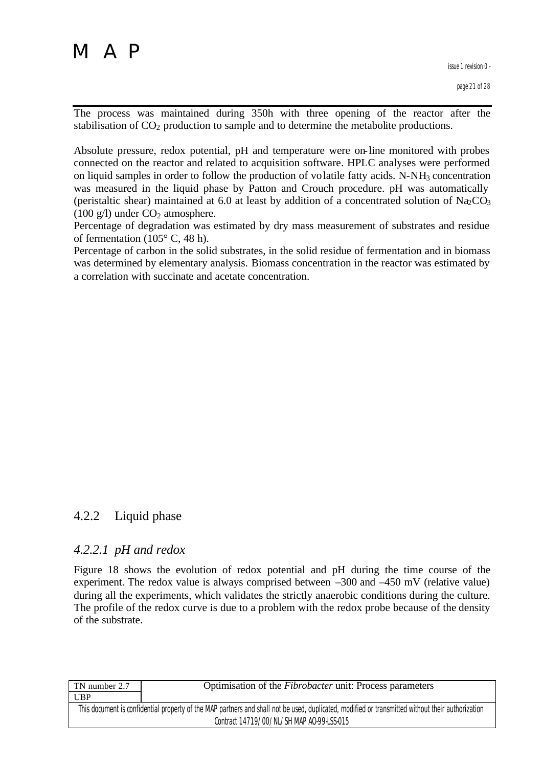The process was maintained during 350h with three opening of the reactor after the stabilisation of  $CO<sub>2</sub>$  production to sample and to determine the metabolite productions.

Absolute pressure, redox potential, pH and temperature were on-line monitored with probes connected on the reactor and related to acquisition software. HPLC analyses were performed on liquid samples in order to follow the production of volatile fatty acids.  $N-NH_3$  concentration was measured in the liquid phase by Patton and Crouch procedure. pH was automatically (peristaltic shear) maintained at 6.0 at least by addition of a concentrated solution of  $\text{Na}_2\text{CO}_3$  $(100 \text{ g/l})$  under  $CO<sub>2</sub>$  atmosphere.

Percentage of degradation was estimated by dry mass measurement of substrates and residue of fermentation (105° C, 48 h).

Percentage of carbon in the solid substrates, in the solid residue of fermentation and in biomass was determined by elementary analysis. Biomass concentration in the reactor was estimated by a correlation with succinate and acetate concentration.

## 4.2.2 Liquid phase

### *4.2.2.1 pH and redox*

Figure 18 shows the evolution of redox potential and pH during the time course of the experiment. The redox value is always comprised between –300 and –450 mV (relative value) during all the experiments, which validates the strictly anaerobic conditions during the culture. The profile of the redox curve is due to a problem with the redox probe because of the density of the substrate.

| TN number 2.7 | Optimisation of the <i>Fibrobacter</i> unit: Process parameters                                                                                   |
|---------------|---------------------------------------------------------------------------------------------------------------------------------------------------|
| <b>UBP</b>    |                                                                                                                                                   |
|               | This document is confidential property of the MAP partners and shall not be used, duplicated, modified or transmitted without their authorization |
|               | Contract 14719/00/NL/SH MAP AO-99-LSS-015                                                                                                         |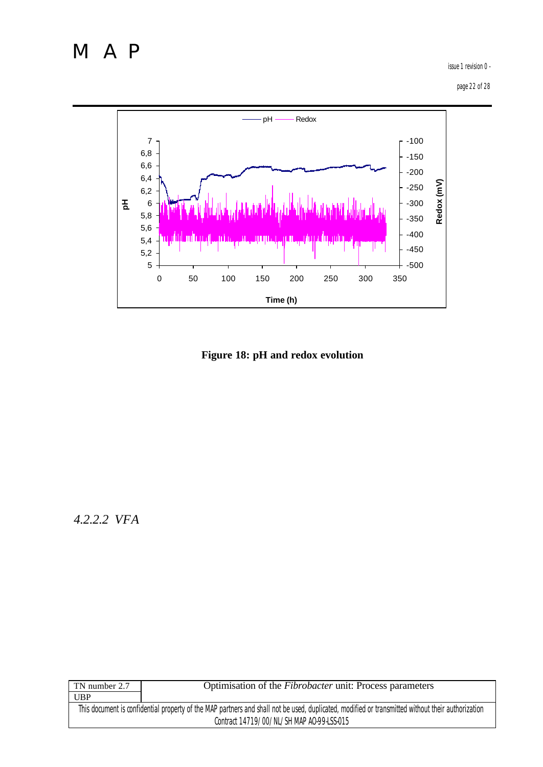issue 1 revision 0 -

page 22 of 28



**Figure 18: pH and redox evolution**

*4.2.2.2 VFA*

| TN number 2.7 | Optimisation of the <i>Fibrobacter</i> unit: Process parameters                                                                                   |
|---------------|---------------------------------------------------------------------------------------------------------------------------------------------------|
| UBP           |                                                                                                                                                   |
|               | This document is confidential property of the MAP partners and shall not be used, duplicated, modified or transmitted without their authorization |
|               | Contract 14719/00/NL/SH MAP AO-99-LSS-015                                                                                                         |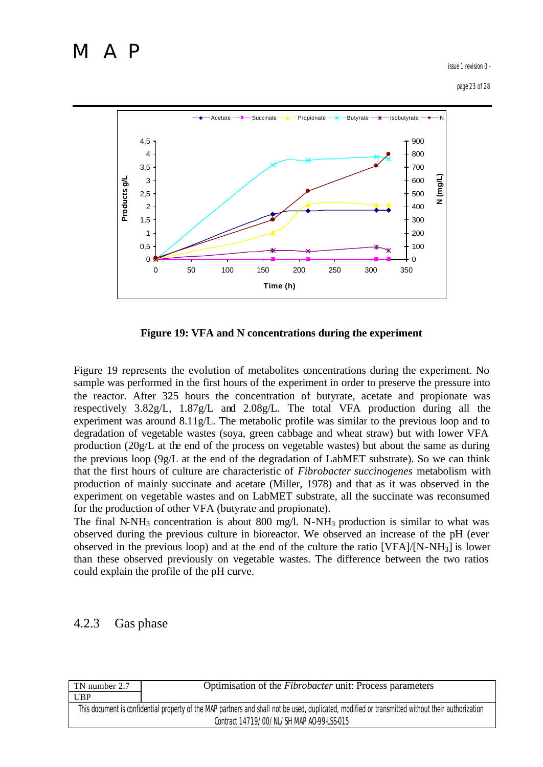issue 1 revision 0 -

page 23 of 28



**Figure 19: VFA and N concentrations during the experiment**

Figure 19 represents the evolution of metabolites concentrations during the experiment. No sample was performed in the first hours of the experiment in order to preserve the pressure into the reactor. After 325 hours the concentration of butyrate, acetate and propionate was respectively 3.82g/L, 1.87g/L and 2.08g/L. The total VFA production during all the experiment was around  $8.11g/L$ . The metabolic profile was similar to the previous loop and to degradation of vegetable wastes (soya, green cabbage and wheat straw) but with lower VFA production (20g/L at the end of the process on vegetable wastes) but about the same as during the previous loop (9g/L at the end of the degradation of LabMET substrate). So we can think that the first hours of culture are characteristic of *Fibrobacter succinogenes* metabolism with production of mainly succinate and acetate (Miller, 1978) and that as it was observed in the experiment on vegetable wastes and on LabMET substrate, all the succinate was reconsumed for the production of other VFA (butyrate and propionate).

The final N-NH<sub>3</sub> concentration is about 800 mg/l. N-NH<sub>3</sub> production is similar to what was observed during the previous culture in bioreactor. We observed an increase of the pH (ever observed in the previous loop) and at the end of the culture the ratio [VFA]/[N-NH3] is lower than these observed previously on vegetable wastes. The difference between the two ratios could explain the profile of the pH curve.

## 4.2.3 Gas phase

| TN number 2.7 | Optimisation of the <i>Fibrobacter</i> unit: Process parameters                                                                                   |
|---------------|---------------------------------------------------------------------------------------------------------------------------------------------------|
|               |                                                                                                                                                   |
| <b>UBP</b>    |                                                                                                                                                   |
|               | This document is confidential property of the MAP partners and shall not be used, duplicated, modified or transmitted without their authorization |
|               |                                                                                                                                                   |
|               | Contract 14719/00/NL/SH MAP AO-99-LSS-015                                                                                                         |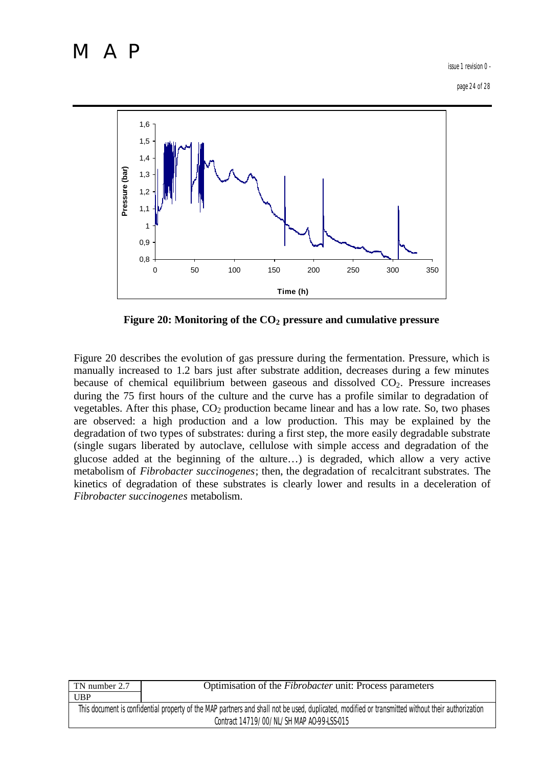issue 1 revision 0 -

page 24 of 28



**Figure 20: Monitoring of the CO2 pressure and cumulative pressure**

Figure 20 describes the evolution of gas pressure during the fermentation. Pressure, which is manually increased to 1.2 bars just after substrate addition, decreases during a few minutes because of chemical equilibrium between gaseous and dissolved  $CO<sub>2</sub>$ . Pressure increases during the 75 first hours of the culture and the curve has a profile similar to degradation of vegetables. After this phase,  $CO<sub>2</sub>$  production became linear and has a low rate. So, two phases are observed: a high production and a low production. This may be explained by the degradation of two types of substrates: during a first step, the more easily degradable substrate (single sugars liberated by autoclave, cellulose with simple access and degradation of the glucose added at the beginning of the culture…) is degraded, which allow a very active metabolism of *Fibrobacter succinogenes*; then, the degradation of recalcitrant substrates. The kinetics of degradation of these substrates is clearly lower and results in a deceleration of *Fibrobacter succinogenes* metabolism.

| <b>UBP</b>                                                                                                                                        |  |
|---------------------------------------------------------------------------------------------------------------------------------------------------|--|
| This document is confidential property of the MAP partners and shall not be used, duplicated, modified or transmitted without their authorization |  |
| Contract 14719/00/NL/SH MAP AO-99-LSS-015                                                                                                         |  |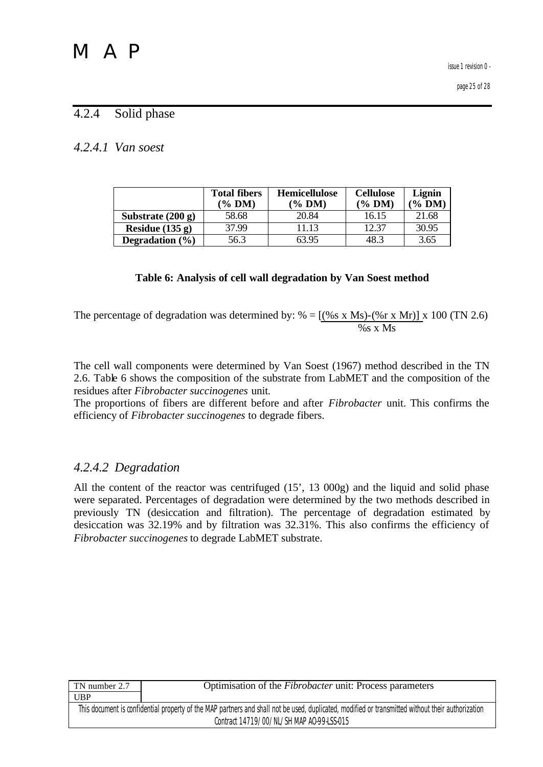## 4.2.4 Solid phase

## *4.2.4.1 Van soest*

|                     | <b>Total fibers</b><br>(% DM) | <b>Hemicellulose</b><br>$(\%$ DM) | <b>Cellulose</b><br>$(\%$ DM) | Lignin<br>$\%$ DM |
|---------------------|-------------------------------|-----------------------------------|-------------------------------|-------------------|
| Substrate $(200 g)$ | 58.68                         | 20.84                             | 16.15                         | 21.68             |
| Residue $(135 g)$   | 37.99                         | 11.13                             | 12.37                         | 30.95             |
| Degradation $(\% )$ | 56.3                          | 63.95                             | 48.3                          | 3.65              |

## **Table 6: Analysis of cell wall degradation by Van Soest method**

The percentage of degradation was determined by: % =  $[(%s x Ms)-(%r x Mr)] x 100 (TN 2.6)$ %s x Ms

The cell wall components were determined by Van Soest (1967) method described in the TN 2.6. Table 6 shows the composition of the substrate from LabMET and the composition of the residues after *Fibrobacter succinogenes* unit.

The proportions of fibers are different before and after *Fibrobacter* unit. This confirms the efficiency of *Fibrobacter succinogenes* to degrade fibers.

## *4.2.4.2 Degradation*

All the content of the reactor was centrifuged (15', 13 000g) and the liquid and solid phase were separated. Percentages of degradation were determined by the two methods described in previously TN (desiccation and filtration). The percentage of degradation estimated by desiccation was 32.19% and by filtration was 32.31%. This also confirms the efficiency of *Fibrobacter succinogenes* to degrade LabMET substrate.

| TN number 2.7 | Optimisation of the <i>Fibrobacter</i> unit: Process parameters                                                                                   |
|---------------|---------------------------------------------------------------------------------------------------------------------------------------------------|
| <b>UBP</b>    |                                                                                                                                                   |
|               | This document is confidential property of the MAP partners and shall not be used, duplicated, modified or transmitted without their authorization |
|               | Contract 14719/00/NL/SH MAP AO-99-LSS-015                                                                                                         |
|               |                                                                                                                                                   |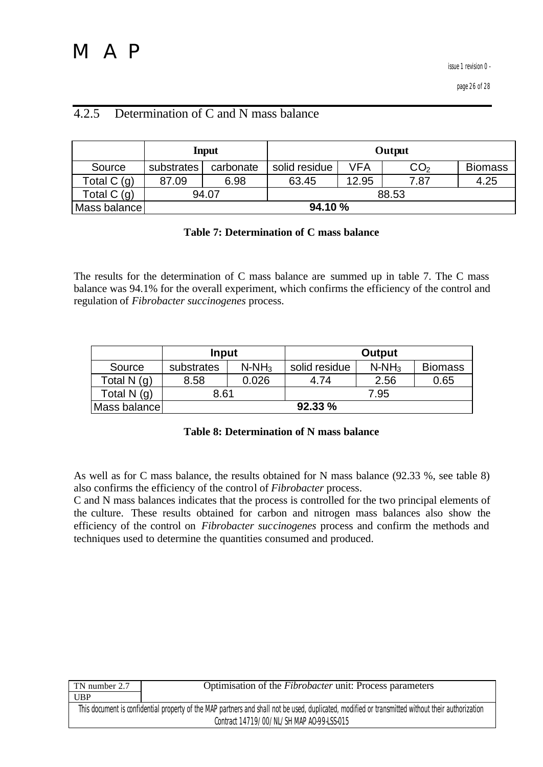page 26 of 28

## 4.2.5 Determination of C and N mass balance

|              |                | <b>Input</b> |               |       | Output          |                |
|--------------|----------------|--------------|---------------|-------|-----------------|----------------|
| Source       | substrates     | carbonate    | solid residue | VFA   | CO <sub>2</sub> | <b>Biomass</b> |
| Total $C(g)$ | 87.09          | 6.98         | 63.45         | 12.95 | 7.87            | 4.25           |
| Total $C(g)$ | 94.07<br>88.53 |              |               |       |                 |                |
| Mass balance | 94.10%         |              |               |       |                 |                |

### **Table 7: Determination of C mass balance**

The results for the determination of C mass balance are summed up in table 7. The C mass balance was 94.1% for the overall experiment, which confirms the efficiency of the control and regulation of *Fibrobacter succinogenes* process.

|               | Input      |          | Output        |          |                |
|---------------|------------|----------|---------------|----------|----------------|
| Source        | substrates | $N-NH_3$ | solid residue | $N-NH_3$ | <b>Biomass</b> |
| Total N (g)   | 8.58       | 0.026    | 4.74          | 2.56     | 0.65           |
| Total N $(q)$ | 8.61       |          | 7.95          |          |                |
| Mass balance  | 92.33%     |          |               |          |                |

**Table 8: Determination of N mass balance**

As well as for C mass balance, the results obtained for N mass balance (92.33 %, see table 8) also confirms the efficiency of the control of *Fibrobacter* process.

C and N mass balances indicates that the process is controlled for the two principal elements of the culture. These results obtained for carbon and nitrogen mass balances also show the efficiency of the control on *Fibrobacter succinogenes* process and confirm the methods and techniques used to determine the quantities consumed and produced.

| Optimisation of the <i>Fibrobacter</i> unit: Process parameters                                                                                   |
|---------------------------------------------------------------------------------------------------------------------------------------------------|
|                                                                                                                                                   |
| This document is confidential property of the MAP partners and shall not be used, duplicated, modified or transmitted without their authorization |
| Contract 14719/00/NL/SH MAP AO-99-LSS-015                                                                                                         |
|                                                                                                                                                   |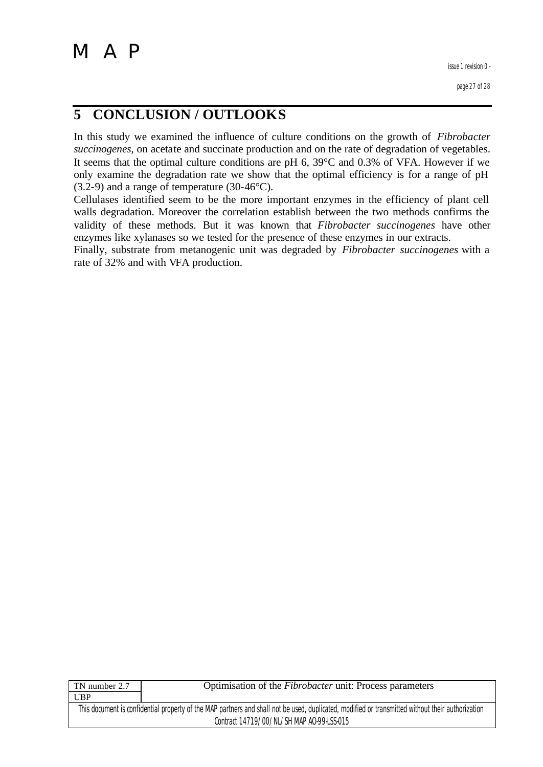## **5 CONCLUSION / OUTLOOKS**

In this study we examined the influence of culture conditions on the growth of *Fibrobacter succinogenes*, on acetate and succinate production and on the rate of degradation of vegetables. It seems that the optimal culture conditions are pH 6, 39°C and 0.3% of VFA. However if we only examine the degradation rate we show that the optimal efficiency is for a range of pH  $(3.2-9)$  and a range of temperature  $(30-46^{\circ}C)$ .

Cellulases identified seem to be the more important enzymes in the efficiency of plant cell walls degradation. Moreover the correlation establish between the two methods confirms the validity of these methods. But it was known that *Fibrobacter succinogenes* have other enzymes like xylanases so we tested for the presence of these enzymes in our extracts.

Finally, substrate from metanogenic unit was degraded by *Fibrobacter succinogenes* with a rate of 32% and with VFA production.

| TN number 2.7                                                                                                                                     | Optimisation of the <i>Fibrobacter</i> unit: Process parameters |
|---------------------------------------------------------------------------------------------------------------------------------------------------|-----------------------------------------------------------------|
| UBP                                                                                                                                               |                                                                 |
| This document is confidential property of the MAP partners and shall not be used, duplicated, modified or transmitted without their authorization |                                                                 |
| Contract 14719/00/NL/SH MAP AO-99-LSS-015                                                                                                         |                                                                 |